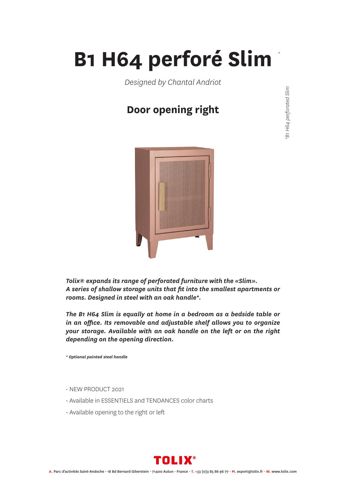## **B1 H64 perforé Slim**

*Designed by Chantal Andriot*

### **Door opening right**



*Tolix® expands its range of perforated furniture with the «Slim». A series of shallow storage units that fit into the smallest apartments or rooms. Designed in steel with an oak handle\*.*

*The B1 H64 Slim is equally at home in a bedroom as a bedside table or in an office. Its removable and adjustable shelf allows you to organize your storage. Available with an oak handle on the left or on the right depending on the opening direction.*

*\* Optional painted steel handle*

- NEW PRODUCT 2021
- Available in ESSENTIELS and TENDANCES color charts
- Available opening to the right or left



*\**